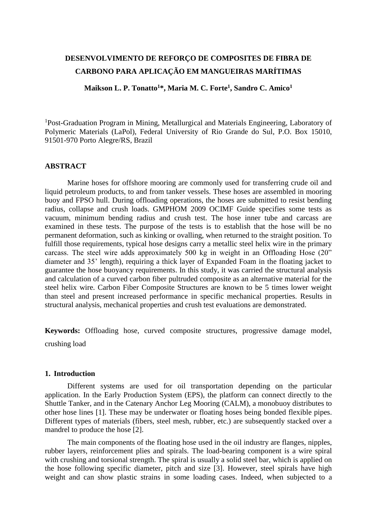# **DESENVOLVIMENTO DE REFORÇO DE COMPOSITES DE FIBRA DE CARBONO PARA APLICAÇÃO EM MANGUEIRAS MARÍTIMAS**

**Maikson L. P. Tonatto<sup>1</sup>\*, Maria M. C. Forte<sup>1</sup> , Sandro C. Amico<sup>1</sup>**

<sup>1</sup>Post-Graduation Program in Mining, Metallurgical and Materials Engineering, Laboratory of Polymeric Materials (LaPol), Federal University of Rio Grande do Sul, P.O. Box 15010, 91501-970 Porto Alegre/RS, Brazil

## **ABSTRACT**

Marine hoses for offshore mooring are commonly used for transferring crude oil and liquid petroleum products, to and from tanker vessels. These hoses are assembled in mooring buoy and FPSO hull. During offloading operations, the hoses are submitted to resist bending radius, collapse and crush loads. GMPHOM 2009 OCIMF Guide specifies some tests as vacuum, minimum bending radius and crush test. The hose inner tube and carcass are examined in these tests. The purpose of the tests is to establish that the hose will be no permanent deformation, such as kinking or ovalling, when returned to the straight position. To fulfill those requirements, typical hose designs carry a metallic steel helix wire in the primary carcass. The steel wire adds approximately 500 kg in weight in an Offloading Hose (20" diameter and 35' length), requiring a thick layer of Expanded Foam in the floating jacket to guarantee the hose buoyancy requirements. In this study, it was carried the structural analysis and calculation of a curved carbon fiber pultruded composite as an alternative material for the steel helix wire. Carbon Fiber Composite Structures are known to be 5 times lower weight than steel and present increased performance in specific mechanical properties. Results in structural analysis, mechanical properties and crush test evaluations are demonstrated.

**Keywords:** Offloading hose, curved composite structures, progressive damage model, crushing load

#### **1. Introduction**

Different systems are used for oil transportation depending on the particular application. In the Early Production System (EPS), the platform can connect directly to the Shuttle Tanker, and in the Catenary Anchor Leg Mooring (CALM), a monobuoy distributes to other hose lines [1]. These may be underwater or floating hoses being bonded flexible pipes. Different types of materials (fibers, steel mesh, rubber, etc.) are subsequently stacked over a mandrel to produce the hose [2].

The main components of the floating hose used in the oil industry are flanges, nipples, rubber layers, reinforcement plies and spirals. The load-bearing component is a wire spiral with crushing and torsional strength. The spiral is usually a solid steel bar, which is applied on the hose following specific diameter, pitch and size [3]. However, steel spirals have high weight and can show plastic strains in some loading cases. Indeed, when subjected to a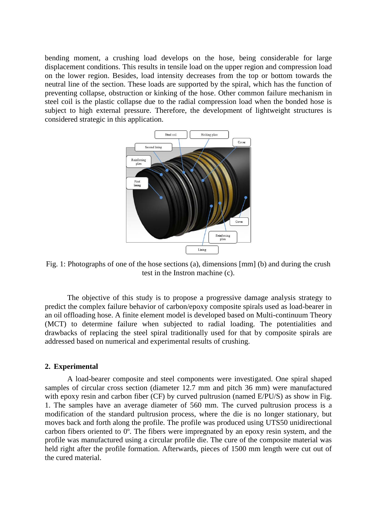bending moment, a crushing load develops on the hose, being considerable for large displacement conditions. This results in tensile load on the upper region and compression load on the lower region. Besides, load intensity decreases from the top or bottom towards the neutral line of the section. These loads are supported by the spiral, which has the function of preventing collapse, obstruction or kinking of the hose. Other common failure mechanism in steel coil is the plastic collapse due to the radial compression load when the bonded hose is subject to high external pressure. Therefore, the development of lightweight structures is considered strategic in this application.



<span id="page-1-0"></span>Fig. 1: Photographs of one of the hose sections (a), dimensions [mm] (b) and during the crush test in the Instron machine (c).

The objective of this study is to propose a progressive damage analysis strategy to predict the complex failure behavior of carbon/epoxy composite spirals used as load-bearer in an oil offloading hose. A finite element model is developed based on Multi-continuum Theory (MCT) to determine failure when subjected to radial loading. The potentialities and drawbacks of replacing the steel spiral traditionally used for that by composite spirals are addressed based on numerical and experimental results of crushing.

#### **2. Experimental**

A load-bearer composite and steel components were investigated. One spiral shaped samples of circular cross section (diameter 12.7 mm and pitch 36 mm) were manufactured with epoxy resin and carbon fiber (CF) by curved pultrusion (named E/PU/S) as show in Fig. [1.](#page-1-0) The samples have an average diameter of 560 mm. The curved pultrusion process is a modification of the standard pultrusion process, where the die is no longer stationary, but moves back and forth along the profile. The profile was produced using UTS50 unidirectional carbon fibers oriented to 0º. The fibers were impregnated by an epoxy resin system, and the profile was manufactured using a circular profile die. The cure of the composite material was held right after the profile formation. Afterwards, pieces of 1500 mm length were cut out of the cured material.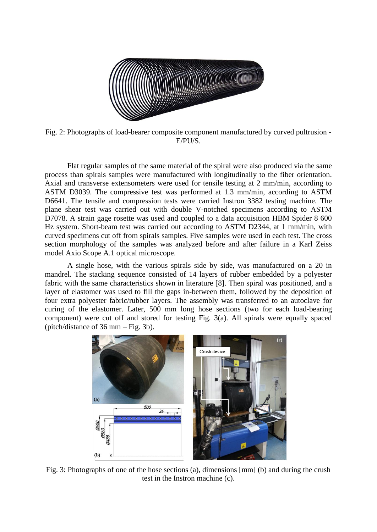

Fig. 2: Photographs of load-bearer composite component manufactured by curved pultrusion - E/PU/S.

Flat regular samples of the same material of the spiral were also produced via the same process than spirals samples were manufactured with longitudinally to the fiber orientation. Axial and transverse extensometers were used for tensile testing at 2 mm/min, according to ASTM D3039. The compressive test was performed at 1.3 mm/min, according to ASTM D6641. The tensile and compression tests were carried Instron 3382 testing machine. The plane shear test was carried out with double V-notched specimens according to ASTM D7078. A strain gage rosette was used and coupled to a data acquisition HBM Spider 8 600 Hz system. Short-beam test was carried out according to ASTM D2344, at 1 mm/min, with curved specimens cut off from spirals samples. Five samples were used in each test. The cross section morphology of the samples was analyzed before and after failure in a Karl Zeiss model Axio Scope A.1 optical microscope.

A single hose, with the various spirals side by side, was manufactured on a 20 in mandrel. The stacking sequence consisted of 14 layers of rubber embedded by a polyester fabric with the same characteristics shown in literature [8]. Then spiral was positioned, and a layer of elastomer was used to fill the gaps in-between them, followed by the deposition of four extra polyester fabric/rubber layers. The assembly was transferred to an autoclave for curing of the elastomer. Later, 500 mm long hose sections (two for each load-bearing component) were cut off and stored for testing [Fig. 3\(](#page-2-0)a). All spirals were equally spaced (pitch/distance of 36 mm – [Fig. 3b](#page-2-0)).

<span id="page-2-0"></span>

Fig. 3: Photographs of one of the hose sections (a), dimensions [mm] (b) and during the crush test in the Instron machine (c).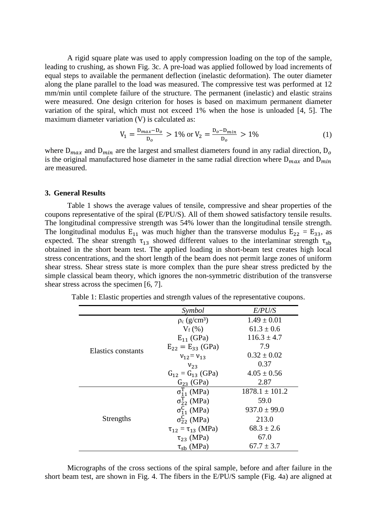A rigid square plate was used to apply compression loading on the top of the sample, leading to crushing, as shown [Fig. 3c](#page-2-0). A pre-load was applied followed by load increments of equal steps to available the permanent deflection (inelastic deformation). The outer diameter along the plane parallel to the load was measured. The compressive test was performed at 12 mm/min until complete failure of the structure. The permanent (inelastic) and elastic strains were measured. One design criterion for hoses is based on maximum permanent diameter variation of the spiral, which must not exceed 1% when the hose is unloaded [4, 5]. The maximum diameter variation (V) is calculated as:

$$
V_1 = \frac{D_{max} - D_o}{D_o} > 1\% \text{ or } V_2 = \frac{D_o - D_{min}}{D_o} > 1\% \tag{1}
$$

where  $D_{max}$  and  $D_{min}$  are the largest and smallest diameters found in any radial direction,  $D_o$ is the original manufactured hose diameter in the same radial direction where  $D_{max}$  and  $D_{min}$ are measured.

#### **3. General Results**

Table 1 shows the average values of tensile, compressive and shear properties of the coupons representative of the spiral (E/PU/S). All of them showed satisfactory tensile results. The longitudinal compressive strength was 54% lower than the longitudinal tensile strength. The longitudinal modulus  $E_{11}$  was much higher than the transverse modulus  $E_{22} = E_{33}$ , as expected. The shear strength  $\tau_{13}$  showed different values to the interlaminar strength  $\tau_{sb}$ obtained in the short beam test. The applied loading in short-beam test creates high local stress concentrations, and the short length of the beam does not permit large zones of uniform shear stress. Shear stress state is more complex than the pure shear stress predicted by the simple classical beam theory, which ignores the non-symmetric distribution of the transverse shear stress across the specimen [6, 7].

|                    | Symbol                          | <i>E/PU/S</i>      |
|--------------------|---------------------------------|--------------------|
| Elastics constants | $\rho_c$ (g/cm <sup>3</sup> )   | $1.49 \pm 0.01$    |
|                    | $V_f$ (%)                       | $61.3 \pm 0.6$     |
|                    | $E_{11}$ (GPa)                  | $116.3 \pm 4.7$    |
|                    | $E_{22} = E_{33}$ (GPa)         | 7.9                |
|                    | $V_{12} = V_{13}$               | $0.32 \pm 0.02$    |
|                    | $V_{23}$                        | 0.37               |
|                    | $G_{12} = G_{13}$ (GPa)         | $4.05 \pm 0.56$    |
|                    | $G_{23}$ (GPa)                  | 2.87               |
| Strengths          | $\overline{\sigma_{11}^T$ (MPa) | $1878.1 \pm 101.2$ |
|                    | $\sigma_{22}^T$ (MPa)           | 59.0               |
|                    | $\sigma_{11}^C$ (MPa)           | $937.0 \pm 99.0$   |
|                    | $\sigma_{22}^C$ (MPa)           | 213.0              |
|                    | $\tau_{12} = \tau_{13}$ (MPa)   | $68.3 \pm 2.6$     |
|                    | $\tau_{23}$ (MPa)               | 67.0               |
|                    | $\tau_{sb}$ (MPa)               | $67.7 \pm 3.7$     |

Table 1: Elastic properties and strength values of the representative coupons.

Micrographs of the cross sections of the spiral sample, before and after failure in the short beam test, are shown in [Fig. 4.](#page-4-0) The fibers in the E/PU/S sample [\(Fig. 4a](#page-4-0)) are aligned at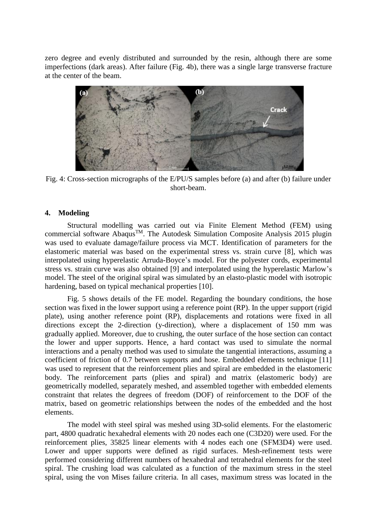zero degree and evenly distributed and surrounded by the resin, although there are some imperfections (dark areas). After failure [\(Fig. 4b](#page-4-0)), there was a single large transverse fracture at the center of the beam.



<span id="page-4-0"></span>Fig. 4: Cross-section micrographs of the E/PU/S samples before (a) and after (b) failure under short-beam.

### **4. Modeling**

Structural modelling was carried out via Finite Element Method (FEM) using commercial software Abaqus<sup>TM</sup>. The Autodesk Simulation Composite Analysis 2015 plugin was used to evaluate damage/failure process via MCT. Identification of parameters for the elastomeric material was based on the experimental stress vs. strain curve [8], which was interpolated using hyperelastic Arruda-Boyce's model. For the polyester cords, experimental stress vs. strain curve was also obtained [9] and interpolated using the hyperelastic Marlow's model. The steel of the original spiral was simulated by an elasto-plastic model with isotropic hardening, based on typical mechanical properties [10].

[Fig.](#page-5-0) 5 shows details of the FE model. Regarding the boundary conditions, the hose section was fixed in the lower support using a reference point (RP). In the upper support (rigid plate), using another reference point (RP), displacements and rotations were fixed in all directions except the 2-direction (y-direction), where a displacement of 150 mm was gradually applied. Moreover, due to crushing, the outer surface of the hose section can contact the lower and upper supports. Hence, a hard contact was used to simulate the normal interactions and a penalty method was used to simulate the tangential interactions, assuming a coefficient of friction of 0.7 between supports and hose. Embedded elements technique [11] was used to represent that the reinforcement plies and spiral are embedded in the elastomeric body. The reinforcement parts (plies and spiral) and matrix (elastomeric body) are geometrically modelled, separately meshed, and assembled together with embedded elements constraint that relates the degrees of freedom (DOF) of reinforcement to the DOF of the matrix, based on geometric relationships between the nodes of the embedded and the host elements.

The model with steel spiral was meshed using 3D-solid elements. For the elastomeric part, 4800 quadratic hexahedral elements with 20 nodes each one (C3D20) were used. For the reinforcement plies, 35825 linear elements with 4 nodes each one (SFM3D4) were used. Lower and upper supports were defined as rigid surfaces. Mesh-refinement tests were performed considering different numbers of hexahedral and tetrahedral elements for the steel spiral. The crushing load was calculated as a function of the maximum stress in the steel spiral, using the von Mises failure criteria. In all cases, maximum stress was located in the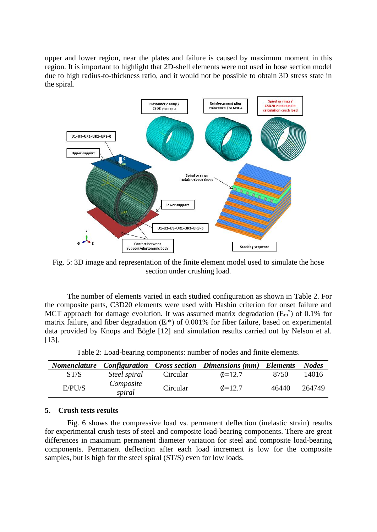upper and lower region, near the plates and failure is caused by maximum moment in this region. It is important to highlight that 2D-shell elements were not used in hose section model due to high radius-to-thickness ratio, and it would not be possible to obtain 3D stress state in the spiral.



<span id="page-5-0"></span>Fig. 5: 3D image and representation of the finite element model used to simulate the hose section under crushing load.

The number of elements varied in each studied configuration as shown in [Table 2.](#page-5-1) For the composite parts, C3D20 elements were used with Hashin criterion for onset failure and MCT approach for damage evolution. It was assumed matrix degradation  $(E_m^*)$  of 0.1% for matrix failure, and fiber degradation  $(E_f^*)$  of 0.001% for fiber failure, based on experimental data provided by Knops and Bögle [12] and simulation results carried out by Nelson et al. [13].

<span id="page-5-1"></span>

|        |                     |          | <b>Nomenclature Configuration Cross section Dimensions (mm) Elements</b> |       | <b>Nodes</b> |
|--------|---------------------|----------|--------------------------------------------------------------------------|-------|--------------|
| ST/S   | Steel spiral        | Circular | $\phi$ =12.7                                                             | 8750  | 14016        |
| E/PU/S | Composite<br>spiral | Circular | $\phi$ =12.7                                                             | 46440 | 264749       |

Table 2: Load-bearing components: number of nodes and finite elements.

### **5. Crush tests results**

[Fig.](#page-6-0) 6 shows the compressive load vs. permanent deflection (inelastic strain) results for experimental crush tests of steel and composite load-bearing components. There are great differences in maximum permanent diameter variation for steel and composite load-bearing components. Permanent deflection after each load increment is low for the composite samples, but is high for the steel spiral (ST/S) even for low loads.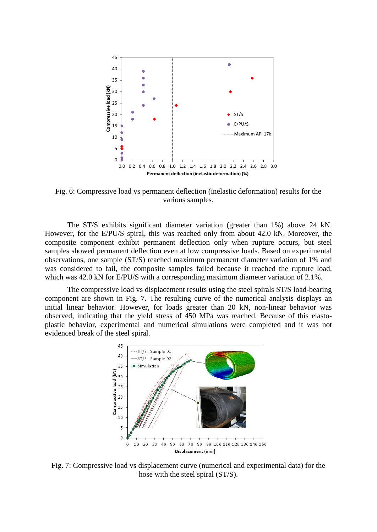

<span id="page-6-0"></span>Fig. 6: Compressive load vs permanent deflection (inelastic deformation) results for the various samples.

The ST/S exhibits significant diameter variation (greater than 1%) above 24 kN. However, for the E/PU/S spiral, this was reached only from about 42.0 kN. Moreover, the composite component exhibit permanent deflection only when rupture occurs, but steel samples showed permanent deflection even at low compressive loads. Based on experimental observations, one sample (ST/S) reached maximum permanent diameter variation of 1% and was considered to fail, the composite samples failed because it reached the rupture load, which was 42.0 kN for E/PU/S with a corresponding maximum diameter variation of 2.1%.

The compressive load vs displacement results using the steel spirals ST/S load-bearing component are shown in [Fig.](#page-6-1) 7. The resulting curve of the numerical analysis displays an initial linear behavior. However, for loads greater than 20 kN, non-linear behavior was observed, indicating that the yield stress of 450 MPa was reached. Because of this elastoplastic behavior, experimental and numerical simulations were completed and it was not evidenced break of the steel spiral.



<span id="page-6-1"></span>Fig. 7: Compressive load vs displacement curve (numerical and experimental data) for the hose with the steel spiral (ST/S).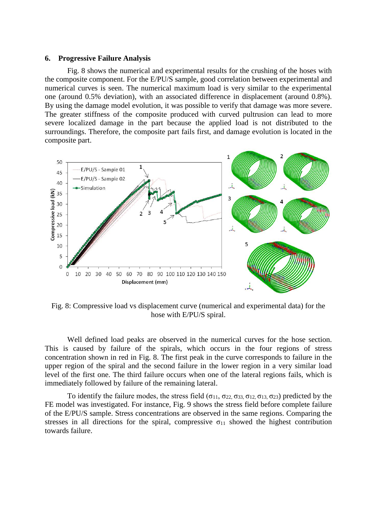#### **6. Progressive Failure Analysis**

[Fig.](#page-7-0) 8 shows the numerical and experimental results for the crushing of the hoses with the composite component. For the E/PU/S sample, good correlation between experimental and numerical curves is seen. The numerical maximum load is very similar to the experimental one (around 0.5% deviation), with an associated difference in displacement (around 0.8%). By using the damage model evolution, it was possible to verify that damage was more severe. The greater stiffness of the composite produced with curved pultrusion can lead to more severe localized damage in the part because the applied load is not distributed to the surroundings. Therefore, the composite part fails first, and damage evolution is located in the composite part.



<span id="page-7-0"></span>Fig. 8: Compressive load vs displacement curve (numerical and experimental data) for the hose with E/PU/S spiral.

Well defined load peaks are observed in the numerical curves for the hose section. This is caused by failure of the spirals, which occurs in the four regions of stress concentration shown in red in [Fig.](#page-7-0) 8. The first peak in the curve corresponds to failure in the upper region of the spiral and the second failure in the lower region in a very similar load level of the first one. The third failure occurs when one of the lateral regions fails, which is immediately followed by failure of the remaining lateral.

To identify the failure modes, the stress field ( $\sigma_{11}$ ,  $\sigma_{22}$ ,  $\sigma_{33}$ ,  $\sigma_{12}$ ,  $\sigma_{13}$ ,  $\sigma_{23}$ ) predicted by the FE model was investigated. For instance, [Fig. 9](#page-8-0) shows the stress field before complete failure of the E/PU/S sample. Stress concentrations are observed in the same regions. Comparing the stresses in all directions for the spiral, compressive  $\sigma_{11}$  showed the highest contribution towards failure.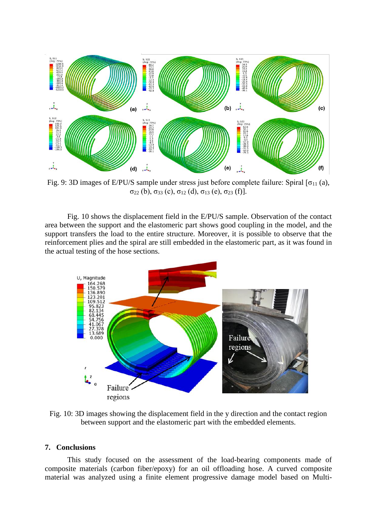

<span id="page-8-0"></span>Fig. 9: 3D images of E/PU/S sample under stress just before complete failure: Spiral  $\sigma_{11}$  (a),  $\sigma_{22}$  (b),  $\sigma_{33}$  (c),  $\sigma_{12}$  (d),  $\sigma_{13}$  (e),  $\sigma_{23}$  (f)].

[Fig.](#page-8-1) 10 shows the displacement field in the E/PU/S sample. Observation of the contact area between the support and the elastomeric part shows good coupling in the model, and the support transfers the load to the entire structure. Moreover, it is possible to observe that the reinforcement plies and the spiral are still embedded in the elastomeric part, as it was found in the actual testing of the hose sections.



<span id="page-8-1"></span>Fig. 10: 3D images showing the displacement field in the y direction and the contact region between support and the elastomeric part with the embedded elements.

## **7. Conclusions**

This study focused on the assessment of the load-bearing components made of composite materials (carbon fiber/epoxy) for an oil offloading hose. A curved composite material was analyzed using a finite element progressive damage model based on Multi